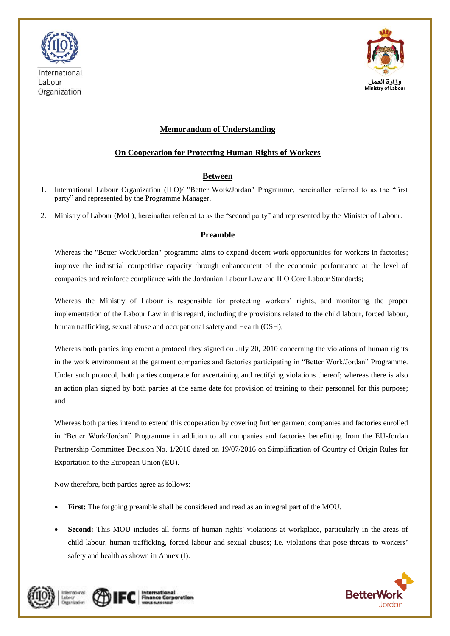



# **Memorandum of Understanding**

## **On Cooperation for Protecting Human Rights of Workers**

# **Between**

- 1. International Labour Organization (ILO)/ "Better Work/Jordan" Programme, hereinafter referred to as the "first party" and represented by the Programme Manager.
- 2. Ministry of Labour (MoL), hereinafter referred to as the "second party" and represented by the Minister of Labour.

### **Preamble**

Whereas the "Better Work/Jordan" programme aims to expand decent work opportunities for workers in factories; improve the industrial competitive capacity through enhancement of the economic performance at the level of companies and reinforce compliance with the Jordanian Labour Law and ILO Core Labour Standards;

Whereas the Ministry of Labour is responsible for protecting workers' rights, and monitoring the proper implementation of the Labour Law in this regard, including the provisions related to the child labour, forced labour, human trafficking, sexual abuse and occupational safety and Health (OSH);

Whereas both parties implement a protocol they signed on July 20, 2010 concerning the violations of human rights in the work environment at the garment companies and factories participating in "Better Work/Jordan" Programme. Under such protocol, both parties cooperate for ascertaining and rectifying violations thereof; whereas there is also an action plan signed by both parties at the same date for provision of training to their personnel for this purpose; and

Whereas both parties intend to extend this cooperation by covering further garment companies and factories enrolled in "Better Work/Jordan" Programme in addition to all companies and factories benefitting from the EU-Jordan Partnership Committee Decision No. 1/2016 dated on 19/07/2016 on Simplification of Country of Origin Rules for Exportation to the European Union (EU).

Now therefore, both parties agree as follows:

- **First:** The forgoing preamble shall be considered and read as an integral part of the MOU.
- **Second:** This MOU includes all forms of human rights' violations at workplace, particularly in the areas of child labour, human trafficking, forced labour and sexual abuses; i.e. violations that pose threats to workers' safety and health as shown in Annex (I).





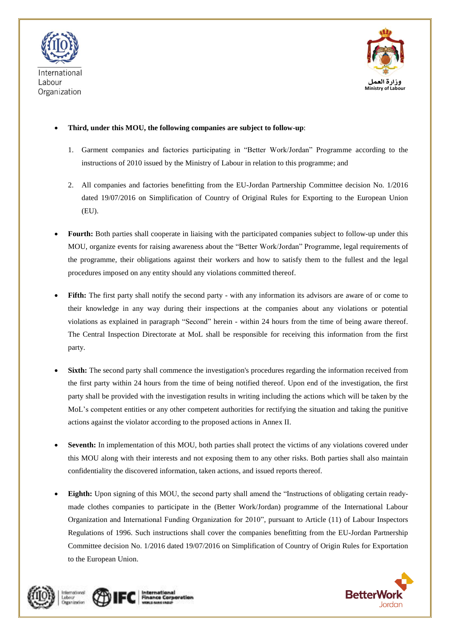



### **Third, under this MOU, the following companies are subject to follow-up**:

- 1. Garment companies and factories participating in "Better Work/Jordan" Programme according to the instructions of 2010 issued by the Ministry of Labour in relation to this programme; and
- 2. All companies and factories benefitting from the EU-Jordan Partnership Committee decision No. 1/2016 dated 19/07/2016 on Simplification of Country of Original Rules for Exporting to the European Union (EU).
- **Fourth:** Both parties shall cooperate in liaising with the participated companies subject to follow-up under this MOU, organize events for raising awareness about the "Better Work/Jordan" Programme, legal requirements of the programme, their obligations against their workers and how to satisfy them to the fullest and the legal procedures imposed on any entity should any violations committed thereof.
- Fifth: The first party shall notify the second party with any information its advisors are aware of or come to their knowledge in any way during their inspections at the companies about any violations or potential violations as explained in paragraph "Second" herein - within 24 hours from the time of being aware thereof. The Central Inspection Directorate at MoL shall be responsible for receiving this information from the first party.
- **Sixth:** The second party shall commence the investigation's procedures regarding the information received from the first party within 24 hours from the time of being notified thereof. Upon end of the investigation, the first party shall be provided with the investigation results in writing including the actions which will be taken by the MoL's competent entities or any other competent authorities for rectifying the situation and taking the punitive actions against the violator according to the proposed actions in Annex II.
- **Seventh:** In implementation of this MOU, both parties shall protect the victims of any violations covered under this MOU along with their interests and not exposing them to any other risks. Both parties shall also maintain confidentiality the discovered information, taken actions, and issued reports thereof.
- **Eighth:** Upon signing of this MOU, the second party shall amend the "Instructions of obligating certain readymade clothes companies to participate in the (Better Work/Jordan) programme of the International Labour Organization and International Funding Organization for 2010", pursuant to Article (11) of Labour Inspectors Regulations of 1996. Such instructions shall cover the companies benefitting from the EU-Jordan Partnership Committee decision No. 1/2016 dated 19/07/2016 on Simplification of Country of Origin Rules for Exportation to the European Union.